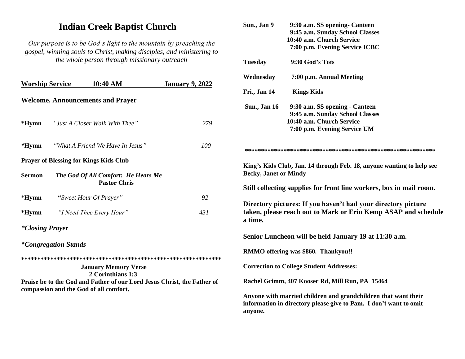# **Indian Creek Baptist Church**

*Our purpose is to be God's light to the mountain by preaching the gospel, winning souls to Christ, making disciples, and ministering to the whole person through missionary outreach*

| <b>Worship Service</b>                                                                                                       |                             | 10:40 AM                                                   | <b>January 9, 2022</b> | $\mathbf{F}$ |  |
|------------------------------------------------------------------------------------------------------------------------------|-----------------------------|------------------------------------------------------------|------------------------|--------------|--|
| <b>Welcome, Announcements and Prayer</b>                                                                                     |                             |                                                            |                        |              |  |
|                                                                                                                              |                             |                                                            |                        | S            |  |
| *Hymn                                                                                                                        |                             | "Just A Closer Walk With Thee"                             | 279                    |              |  |
| $*Hymn$                                                                                                                      |                             | "What A Friend We Have In Jesus"                           | 100                    | *            |  |
|                                                                                                                              |                             | <b>Prayer of Blessing for Kings Kids Club</b>              |                        | K            |  |
| <b>Sermon</b>                                                                                                                |                             | The God Of All Comfort: He Hears Me<br><b>Pastor Chris</b> |                        | B<br>S       |  |
| $*Hymn$                                                                                                                      |                             | "Sweet Hour Of Prayer"                                     | 92                     | D            |  |
| $*Hymn$                                                                                                                      |                             | "I Need Thee Every Hour"                                   | 431                    | tε           |  |
| <i>*Closing Prayer</i>                                                                                                       |                             |                                                            |                        | a            |  |
|                                                                                                                              | <i>*Congregation Stands</i> |                                                            |                        | S<br>$\bf R$ |  |
|                                                                                                                              |                             |                                                            |                        |              |  |
|                                                                                                                              |                             | <b>January Memory Verse</b><br>2 Corinthians 1:3           |                        | $\mathbf C$  |  |
| $\bf R$<br>Praise be to the God and Father of our Lord Jesus Christ, the Father of<br>compassion and the God of all comfort. |                             |                                                            |                        |              |  |
|                                                                                                                              |                             |                                                            |                        | A            |  |

| Sun., Jan 9                                                                                                                                    | 9:30 a.m. SS opening- Canteen                                         |  |  |  |
|------------------------------------------------------------------------------------------------------------------------------------------------|-----------------------------------------------------------------------|--|--|--|
|                                                                                                                                                | 9:45 a.m. Sunday School Classes                                       |  |  |  |
|                                                                                                                                                | 10:40 a.m. Church Service                                             |  |  |  |
|                                                                                                                                                | 7:00 p.m. Evening Service ICBC                                        |  |  |  |
| <b>Tuesday</b>                                                                                                                                 | 9:30 God's Tots                                                       |  |  |  |
| Wednesday                                                                                                                                      | 7:00 p.m. Annual Meeting                                              |  |  |  |
| Fri., Jan 14                                                                                                                                   | <b>Kings Kids</b>                                                     |  |  |  |
| <b>Sun., Jan 16</b>                                                                                                                            | 9:30 a.m. SS opening - Canteen                                        |  |  |  |
|                                                                                                                                                | 9:45 a.m. Sunday School Classes                                       |  |  |  |
|                                                                                                                                                | 10:40 a.m. Church Service                                             |  |  |  |
|                                                                                                                                                | 7:00 p.m. Evening Service UM                                          |  |  |  |
|                                                                                                                                                |                                                                       |  |  |  |
| <b>Becky, Janet or Mindy</b>                                                                                                                   | King's Kids Club, Jan. 14 through Feb. 18, anyone wanting to help see |  |  |  |
|                                                                                                                                                | Still collecting supplies for front line workers, box in mail room.   |  |  |  |
| Directory pictures: If you haven't had your directory picture<br>taken, please reach out to Mark or Erin Kemp ASAP and schedule<br>a time.     |                                                                       |  |  |  |
| Senior Luncheon will be held January 19 at 11:30 a.m.                                                                                          |                                                                       |  |  |  |
| RMMO offering was \$860. Thankyou!!                                                                                                            |                                                                       |  |  |  |
| <b>Correction to College Student Addresses:</b>                                                                                                |                                                                       |  |  |  |
| Rachel Grimm, 407 Kooser Rd, Mill Run, PA 15464                                                                                                |                                                                       |  |  |  |
| Anyone with married children and grandchildren that want their<br>information in directory please give to Pam. I don't want to omit<br>anyone. |                                                                       |  |  |  |